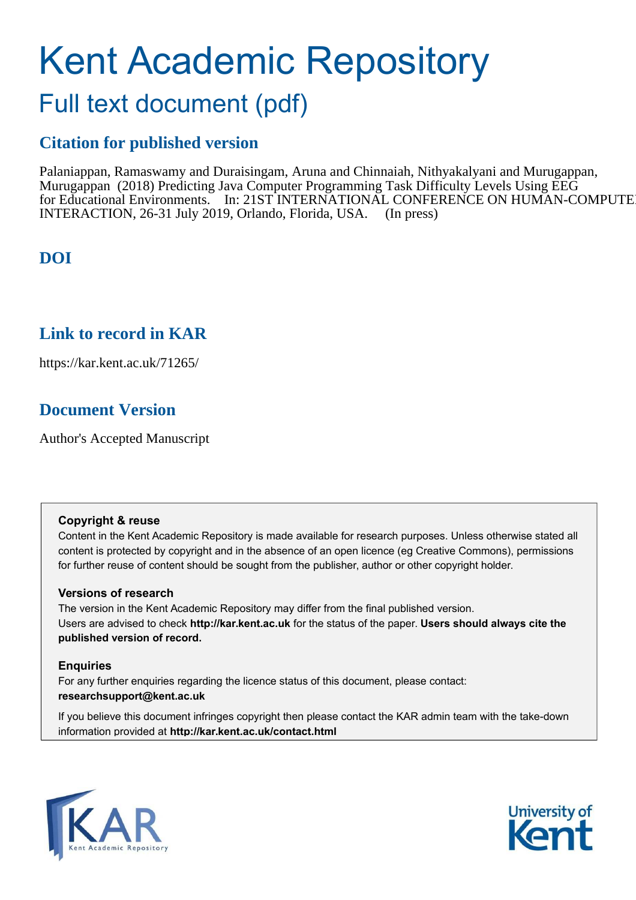# Kent Academic Repository

## Full text document (pdf)

## **Citation for published version**

Palaniappan, Ramaswamy and Duraisingam, Aruna and Chinnaiah, Nithyakalyani and Murugappan, Murugappan (2018) Predicting Java Computer Programming Task Difficulty Levels Using EEG for Educational Environments. In: 21ST INTERNATIONAL CONFERENCE ON HUMAN-COMPUTE INTERACTION, 26-31 July 2019, Orlando, Florida, USA. (In press)

## **DOI**

## **Link to record in KAR**

https://kar.kent.ac.uk/71265/

## **Document Version**

Author's Accepted Manuscript

#### **Copyright & reuse**

Content in the Kent Academic Repository is made available for research purposes. Unless otherwise stated all content is protected by copyright and in the absence of an open licence (eg Creative Commons), permissions for further reuse of content should be sought from the publisher, author or other copyright holder.

#### **Versions of research**

The version in the Kent Academic Repository may differ from the final published version. Users are advised to check **http://kar.kent.ac.uk** for the status of the paper. **Users should always cite the published version of record.**

#### **Enquiries**

For any further enquiries regarding the licence status of this document, please contact: **researchsupport@kent.ac.uk**

If you believe this document infringes copyright then please contact the KAR admin team with the take-down information provided at **http://kar.kent.ac.uk/contact.html**



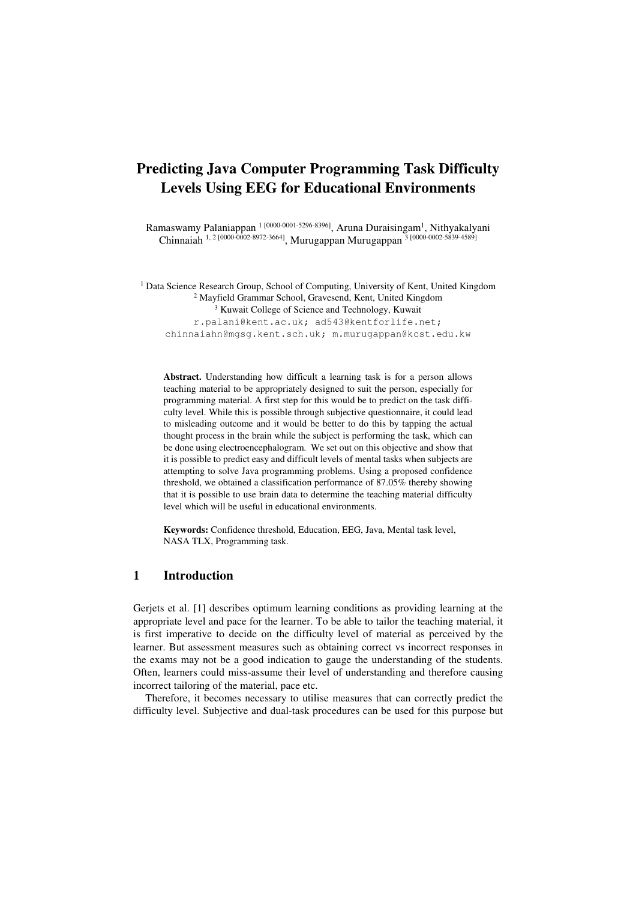### **Predicting Java Computer Programming Task Difficulty Levels Using EEG for Educational Environments**

Ramaswamy Palaniappan <sup>1 [0000-0001-5296-8396]</sup>, Aruna Duraisingam<sup>1</sup>, Nithyakalyani Chinnaiah <sup>1, 2</sup> [0000-0002-8972-3664], Murugappan Murugappan <sup>3</sup> [0000-0002-5839-4589]

<sup>1</sup> Data Science Research Group, School of Computing, University of Kent, United Kingdom 2 Mayfield Grammar School, Gravesend, Kent, United Kingdom <sup>3</sup> Kuwait College of Science and Technology, Kuwait r.palani@kent.ac.uk; ad543@kentforlife.net; chinnaiahn@mgsg.kent.sch.uk; m.murugappan@kcst.edu.kw

**Abstract.** Understanding how difficult a learning task is for a person allows teaching material to be appropriately designed to suit the person, especially for programming material. A first step for this would be to predict on the task difficulty level. While this is possible through subjective questionnaire, it could lead to misleading outcome and it would be better to do this by tapping the actual thought process in the brain while the subject is performing the task, which can be done using electroencephalogram. We set out on this objective and show that it is possible to predict easy and difficult levels of mental tasks when subjects are attempting to solve Java programming problems. Using a proposed confidence threshold, we obtained a classification performance of 87.05% thereby showing that it is possible to use brain data to determine the teaching material difficulty level which will be useful in educational environments.

**Keywords:** Confidence threshold, Education, EEG, Java, Mental task level, NASA TLX, Programming task.

#### **1 Introduction**

Gerjets et al. [1] describes optimum learning conditions as providing learning at the appropriate level and pace for the learner. To be able to tailor the teaching material, it is first imperative to decide on the difficulty level of material as perceived by the learner. But assessment measures such as obtaining correct vs incorrect responses in the exams may not be a good indication to gauge the understanding of the students. Often, learners could miss-assume their level of understanding and therefore causing incorrect tailoring of the material, pace etc.

Therefore, it becomes necessary to utilise measures that can correctly predict the difficulty level. Subjective and dual-task procedures can be used for this purpose but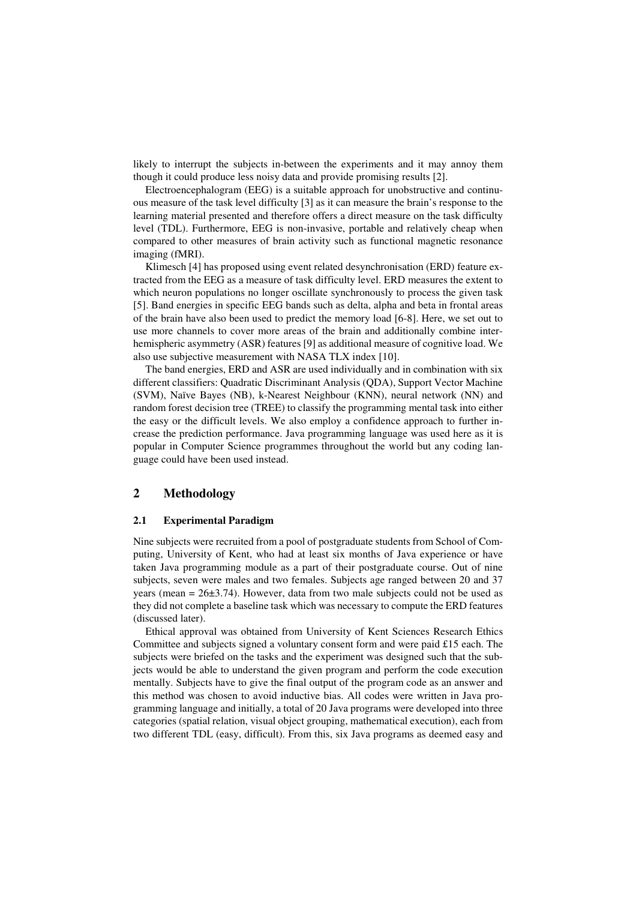likely to interrupt the subjects in-between the experiments and it may annoy them though it could produce less noisy data and provide promising results [2].

Electroencephalogram (EEG) is a suitable approach for unobstructive and continuous measure of the task level difficulty [3] as it can measure the brain's response to the learning material presented and therefore offers a direct measure on the task difficulty level (TDL). Furthermore, EEG is non-invasive, portable and relatively cheap when compared to other measures of brain activity such as functional magnetic resonance imaging (fMRI).

Klimesch [4] has proposed using event related desynchronisation (ERD) feature extracted from the EEG as a measure of task difficulty level. ERD measures the extent to which neuron populations no longer oscillate synchronously to process the given task [5]. Band energies in specific EEG bands such as delta, alpha and beta in frontal areas of the brain have also been used to predict the memory load [6-8]. Here, we set out to use more channels to cover more areas of the brain and additionally combine interhemispheric asymmetry (ASR) features [9] as additional measure of cognitive load. We also use subjective measurement with NASA TLX index [10].

The band energies, ERD and ASR are used individually and in combination with six different classifiers: Quadratic Discriminant Analysis (QDA), Support Vector Machine (SVM), Naïve Bayes (NB), k-Nearest Neighbour (KNN), neural network (NN) and random forest decision tree (TREE) to classify the programming mental task into either the easy or the difficult levels. We also employ a confidence approach to further increase the prediction performance. Java programming language was used here as it is popular in Computer Science programmes throughout the world but any coding language could have been used instead.

#### **2 Methodology**

#### **2.1 Experimental Paradigm**

Nine subjects were recruited from a pool of postgraduate students from School of Computing, University of Kent, who had at least six months of Java experience or have taken Java programming module as a part of their postgraduate course. Out of nine subjects, seven were males and two females. Subjects age ranged between 20 and 37 years (mean  $= 26\pm 3.74$ ). However, data from two male subjects could not be used as they did not complete a baseline task which was necessary to compute the ERD features (discussed later).

Ethical approval was obtained from University of Kent Sciences Research Ethics Committee and subjects signed a voluntary consent form and were paid £15 each. The subjects were briefed on the tasks and the experiment was designed such that the subjects would be able to understand the given program and perform the code execution mentally. Subjects have to give the final output of the program code as an answer and this method was chosen to avoid inductive bias. All codes were written in Java programming language and initially, a total of 20 Java programs were developed into three categories (spatial relation, visual object grouping, mathematical execution), each from two different TDL (easy, difficult). From this, six Java programs as deemed easy and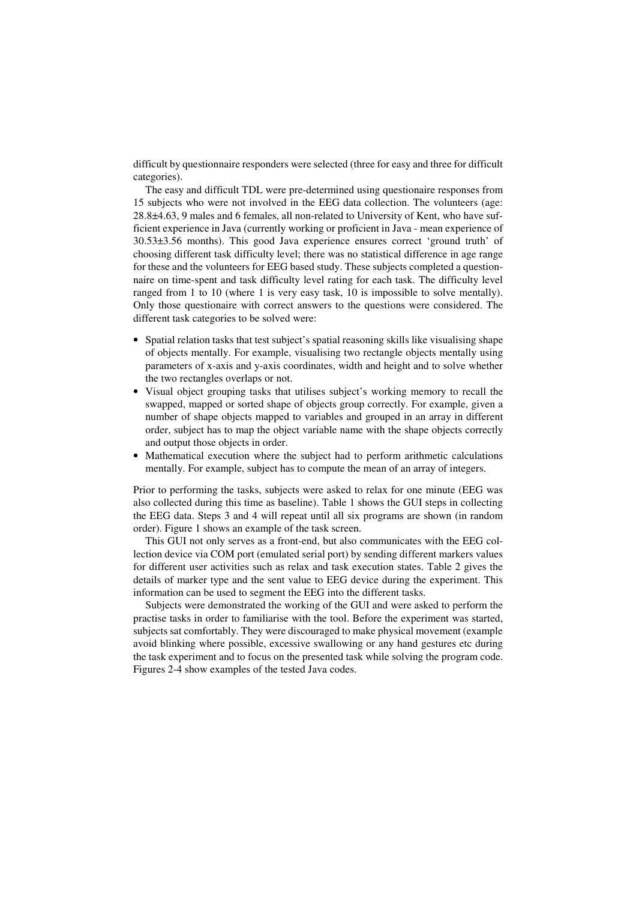difficult by questionnaire responders were selected (three for easy and three for difficult categories).

The easy and difficult TDL were pre-determined using questionaire responses from 15 subjects who were not involved in the EEG data collection. The volunteers (age: 28.8±4.63, 9 males and 6 females, all non-related to University of Kent, who have sufficient experience in Java (currently working or proficient in Java - mean experience of 30.53±3.56 months). This good Java experience ensures correct 'ground truth' of choosing different task difficulty level; there was no statistical difference in age range for these and the volunteers for EEG based study. These subjects completed a questionnaire on time-spent and task difficulty level rating for each task. The difficulty level ranged from 1 to 10 (where 1 is very easy task, 10 is impossible to solve mentally). Only those questionaire with correct answers to the questions were considered. The different task categories to be solved were:

- Spatial relation tasks that test subject's spatial reasoning skills like visualising shape of objects mentally. For example, visualising two rectangle objects mentally using parameters of x-axis and y-axis coordinates, width and height and to solve whether the two rectangles overlaps or not.
- Visual object grouping tasks that utilises subject's working memory to recall the swapped, mapped or sorted shape of objects group correctly. For example, given a number of shape objects mapped to variables and grouped in an array in different order, subject has to map the object variable name with the shape objects correctly and output those objects in order.
- Mathematical execution where the subject had to perform arithmetic calculations mentally. For example, subject has to compute the mean of an array of integers.

Prior to performing the tasks, subjects were asked to relax for one minute (EEG was also collected during this time as baseline). Table 1 shows the GUI steps in collecting the EEG data. Steps 3 and 4 will repeat until all six programs are shown (in random order). Figure 1 shows an example of the task screen.

This GUI not only serves as a front-end, but also communicates with the EEG collection device via COM port (emulated serial port) by sending different markers values for different user activities such as relax and task execution states. Table 2 gives the details of marker type and the sent value to EEG device during the experiment. This information can be used to segment the EEG into the different tasks.

Subjects were demonstrated the working of the GUI and were asked to perform the practise tasks in order to familiarise with the tool. Before the experiment was started, subjects sat comfortably. They were discouraged to make physical movement (example avoid blinking where possible, excessive swallowing or any hand gestures etc during the task experiment and to focus on the presented task while solving the program code. Figures 2-4 show examples of the tested Java codes.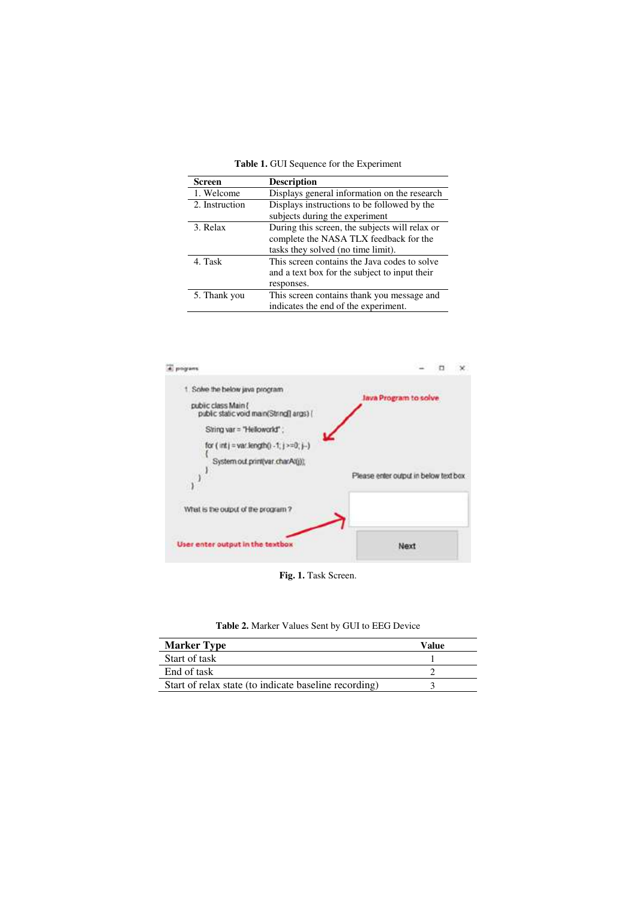**Table 1.** GUI Sequence for the Experiment

| Screen         | <b>Description</b>                                                                                                             |
|----------------|--------------------------------------------------------------------------------------------------------------------------------|
| 1. Welcome     | Displays general information on the research                                                                                   |
| 2. Instruction | Displays instructions to be followed by the<br>subjects during the experiment                                                  |
| 3. Relax       | During this screen, the subjects will relax or<br>complete the NASA TLX feedback for the<br>tasks they solved (no time limit). |
| 4. Task        | This screen contains the Java codes to solve<br>and a text box for the subject to input their<br>responses.                    |
| 5. Thank you   | This screen contains thank you message and<br>indicates the end of the experiment.                                             |



**Fig. 1.** Task Screen.

| Table 2. Marker Values Sent by GUI to EEG Device |  |  |  |  |  |  |  |  |  |  |  |
|--------------------------------------------------|--|--|--|--|--|--|--|--|--|--|--|
|--------------------------------------------------|--|--|--|--|--|--|--|--|--|--|--|

| <b>Marker Type</b>                                    | Value |
|-------------------------------------------------------|-------|
| Start of task                                         |       |
| End of task                                           |       |
| Start of relax state (to indicate baseline recording) |       |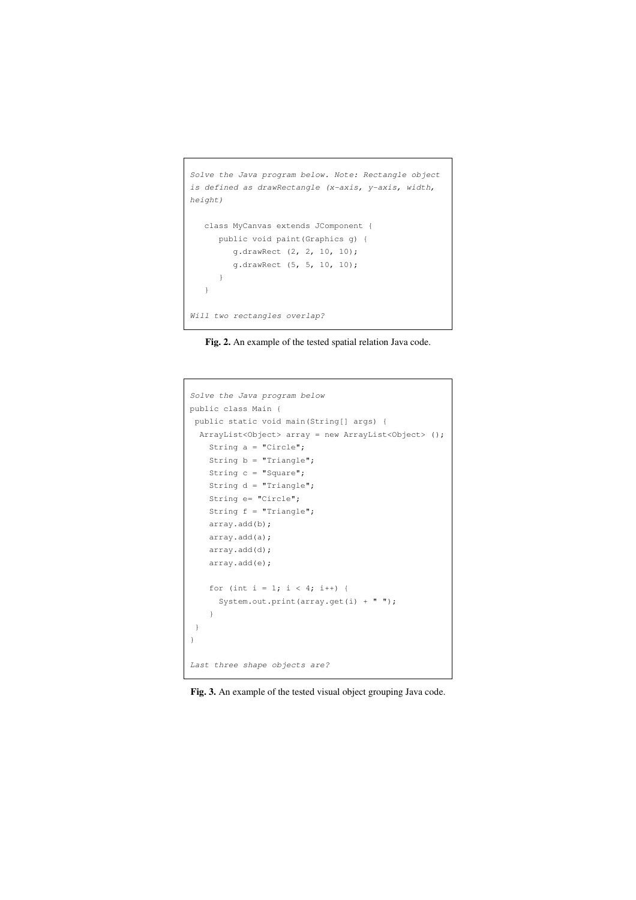```
Solve the Java program below. Note: Rectangle object 
is defined as drawRectangle (x-axis, y-axis, width,
height) 
    class MyCanvas extends JComponent {
      public void paint(Graphics g) {
         g.drawRect (2, 2, 10, 10);
          g.drawRect (5, 5, 10, 10);
       }
    } 
Will two rectangles overlap?
```
**Fig. 2.** An example of the tested spatial relation Java code.

```
Solve the Java program below
public class Main {
 public static void main(String[] args) {
  ArrayList<Object> array = new ArrayList<Object> ();
    String a = "Circle";
    String b = "Triangle";
    String c = "Square";
     String d = "Triangle";
     String e= "Circle";
    String f = "Triangle";
    array.add(b);
    array.add(a);
    array.add(d);
    array.add(e);
   for (int i = 1; i < 4; i++) {
      System.out.print(array.get(i) + " ");
     }
  }
}
Last three shape objects are?
```
**Fig. 3.** An example of the tested visual object grouping Java code.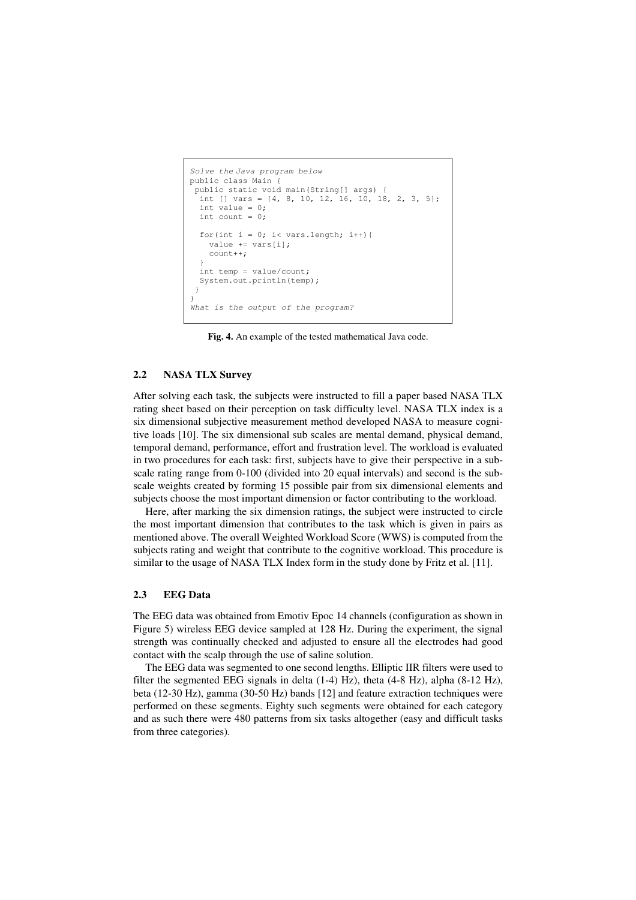```
Solve the Java program below 
public class Main { 
  public static void main(String[] args) { 
  int [] vars = \{4, 8, 10, 12, 16, 10, 18, 2, 3, 5\};int value = 0;
  int count = 0:
  for(int i = 0; i< vars.length; i++){
    value += vars[i];
     count++; 
 } 
   int temp = value/count; 
   System.out.println(temp); 
  } 
} 
What is the output of the program?
```
**Fig. 4.** An example of the tested mathematical Java code.

#### **2.2 NASA TLX Survey**

After solving each task, the subjects were instructed to fill a paper based NASA TLX rating sheet based on their perception on task difficulty level. NASA TLX index is a six dimensional subjective measurement method developed NASA to measure cognitive loads [10]. The six dimensional sub scales are mental demand, physical demand, temporal demand, performance, effort and frustration level. The workload is evaluated in two procedures for each task: first, subjects have to give their perspective in a subscale rating range from 0-100 (divided into 20 equal intervals) and second is the subscale weights created by forming 15 possible pair from six dimensional elements and subjects choose the most important dimension or factor contributing to the workload.

Here, after marking the six dimension ratings, the subject were instructed to circle the most important dimension that contributes to the task which is given in pairs as mentioned above. The overall Weighted Workload Score (WWS) is computed from the subjects rating and weight that contribute to the cognitive workload. This procedure is similar to the usage of NASA TLX Index form in the study done by Fritz et al. [11].

#### **2.3 EEG Data**

The EEG data was obtained from Emotiv Epoc 14 channels (configuration as shown in Figure 5) wireless EEG device sampled at 128 Hz. During the experiment, the signal strength was continually checked and adjusted to ensure all the electrodes had good contact with the scalp through the use of saline solution.

The EEG data was segmented to one second lengths. Elliptic IIR filters were used to filter the segmented EEG signals in delta  $(1-4)$  Hz), theta  $(4-8$  Hz), alpha  $(8-12$  Hz), beta (12-30 Hz), gamma (30-50 Hz) bands [12] and feature extraction techniques were performed on these segments. Eighty such segments were obtained for each category and as such there were 480 patterns from six tasks altogether (easy and difficult tasks from three categories).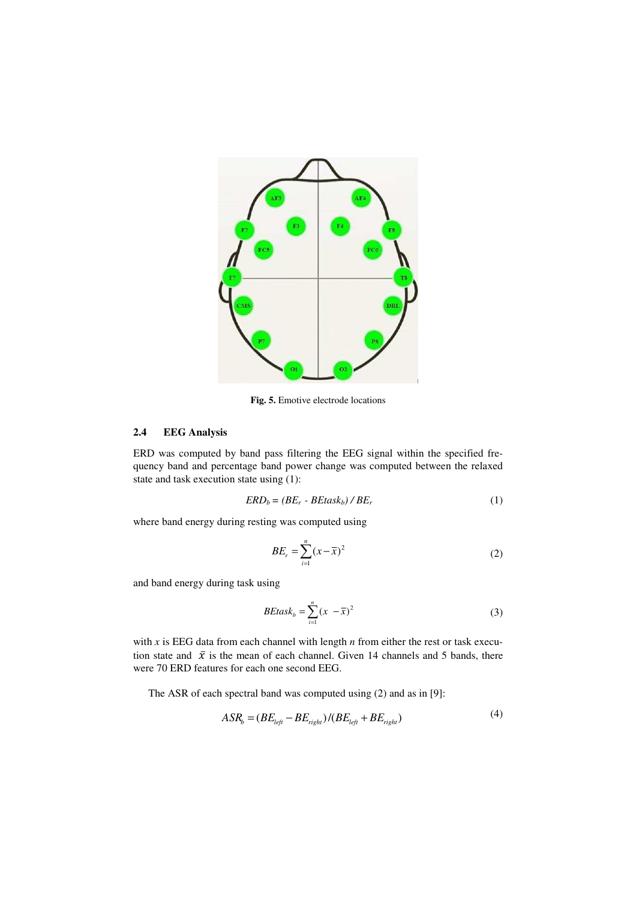

**Fig. 5.** Emotive electrode locations

#### **2.4 EEG Analysis**

ERD was computed by band pass filtering the EEG signal within the specified frequency band and percentage band power change was computed between the relaxed state and task execution state using (1):

$$
ERD_b = (BE_r - BEtask_b) / BE_r
$$
 (1)

where band energy during resting was computed using

$$
BE_r = \sum_{i=1}^{n} (x - \bar{x})^2
$$
 (2)

and band energy during task using

$$
BEtask_b = \sum_{i=1}^{n} (x - \overline{x})^2
$$
 (3)

with *x* is EEG data from each channel with length *n* from either the rest or task execution state and  $\bar{x}$  is the mean of each channel. Given 14 channels and 5 bands, there were 70 ERD features for each one second EEG.

The ASR of each spectral band was computed using (2) and as in [9]:

$$
ASR_b = (BE_{left} - BE_{right})/(BE_{left} + BE_{right})
$$
\n(4)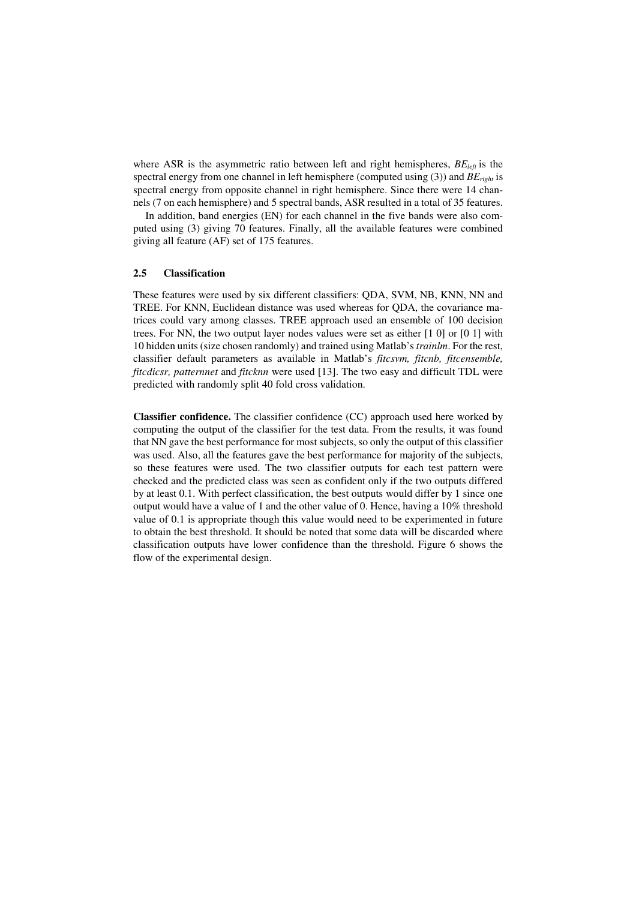where ASR is the asymmetric ratio between left and right hemispheres,  $BE_{left}$  is the spectral energy from one channel in left hemisphere (computed using (3)) and *BEright* is spectral energy from opposite channel in right hemisphere. Since there were 14 channels (7 on each hemisphere) and 5 spectral bands, ASR resulted in a total of 35 features.

In addition, band energies (EN) for each channel in the five bands were also computed using (3) giving 70 features. Finally, all the available features were combined giving all feature (AF) set of 175 features.

#### **2.5 Classification**

These features were used by six different classifiers: QDA, SVM, NB, KNN, NN and TREE. For KNN, Euclidean distance was used whereas for QDA, the covariance matrices could vary among classes. TREE approach used an ensemble of 100 decision trees. For NN, the two output layer nodes values were set as either [1 0] or [0 1] with 10 hidden units (size chosen randomly) and trained using Matlab's *trainlm*. For the rest, classifier default parameters as available in Matlab's *fitcsvm, fitcnb, fitcensemble, fitcdicsr, patternnet* and *fitcknn* were used [13]. The two easy and difficult TDL were predicted with randomly split 40 fold cross validation.

**Classifier confidence.** The classifier confidence (CC) approach used here worked by computing the output of the classifier for the test data. From the results, it was found that NN gave the best performance for most subjects, so only the output of this classifier was used. Also, all the features gave the best performance for majority of the subjects, so these features were used. The two classifier outputs for each test pattern were checked and the predicted class was seen as confident only if the two outputs differed by at least 0.1. With perfect classification, the best outputs would differ by 1 since one output would have a value of 1 and the other value of 0. Hence, having a 10% threshold value of 0.1 is appropriate though this value would need to be experimented in future to obtain the best threshold. It should be noted that some data will be discarded where classification outputs have lower confidence than the threshold. Figure 6 shows the flow of the experimental design.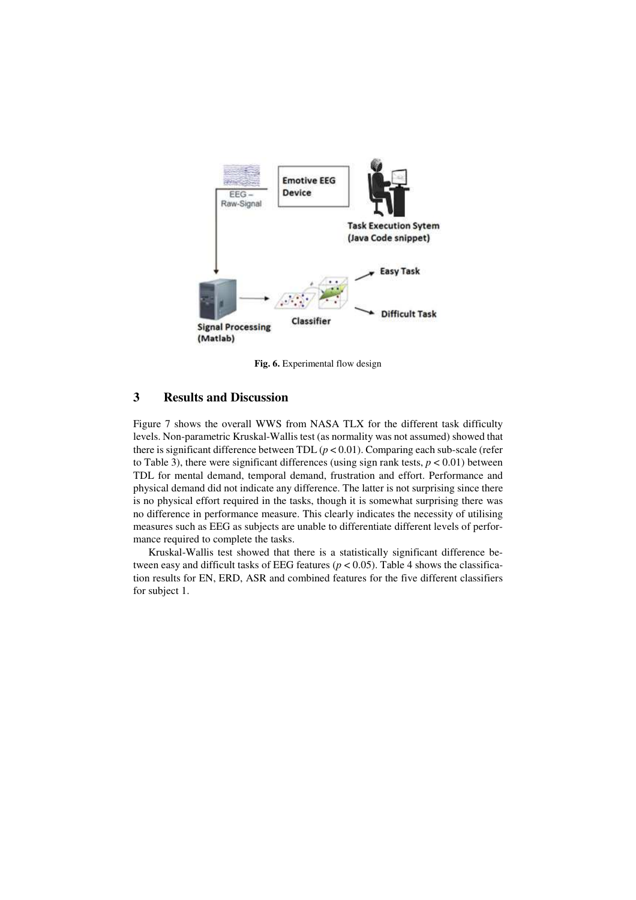

**Fig. 6.** Experimental flow design

#### **3 Results and Discussion**

Figure 7 shows the overall WWS from NASA TLX for the different task difficulty levels. Non-parametric Kruskal-Wallis test (as normality was not assumed) showed that there is significant difference between TDL  $(p < 0.01)$ . Comparing each sub-scale (refer to Table 3), there were significant differences (using sign rank tests,  $p < 0.01$ ) between TDL for mental demand, temporal demand, frustration and effort. Performance and physical demand did not indicate any difference. The latter is not surprising since there is no physical effort required in the tasks, though it is somewhat surprising there was no difference in performance measure. This clearly indicates the necessity of utilising measures such as EEG as subjects are unable to differentiate different levels of performance required to complete the tasks.

 Kruskal-Wallis test showed that there is a statistically significant difference between easy and difficult tasks of EEG features ( $p < 0.05$ ). Table 4 shows the classification results for EN, ERD, ASR and combined features for the five different classifiers for subject 1.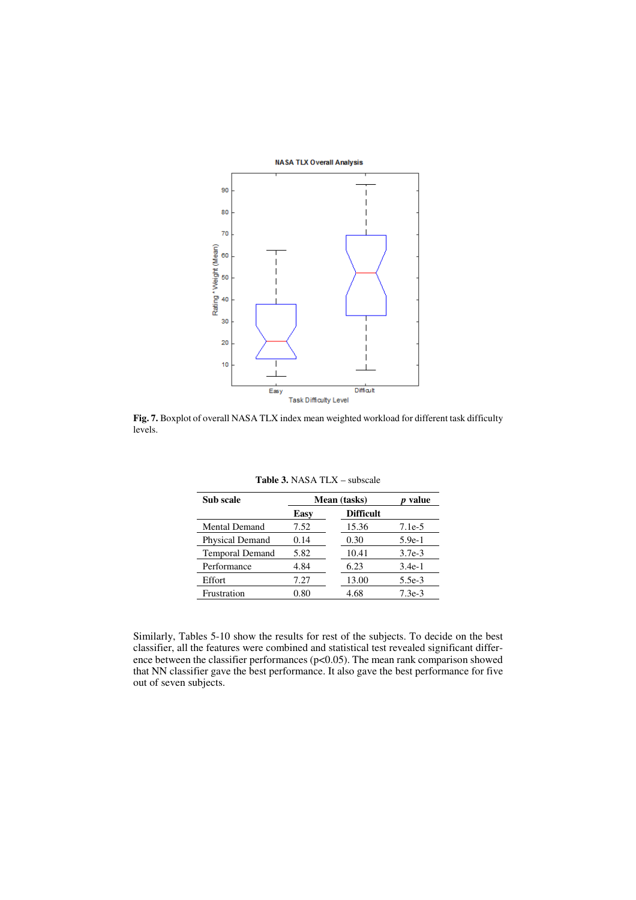

**Fig. 7.** Boxplot of overall NASA TLX index mean weighted workload for different task difficulty levels.

| Sub scale              | Mean (tasks) |                  | p value  |
|------------------------|--------------|------------------|----------|
|                        | Easy         | <b>Difficult</b> |          |
| Mental Demand          | 7.52         | 15.36            | $7.1e-5$ |
| <b>Physical Demand</b> | 0.14         | 0.30             | $5.9e-1$ |
| <b>Temporal Demand</b> | 5.82         | 10.41            | $3.7e-3$ |
| Performance            | 4.84         | 6.23             | $3.4e-1$ |
| Effort                 | 7.27         | 13.00            | 5.5e-3   |
| Frustration            | 0.80         | 4.68             | $7.3e-3$ |

**Table 3.** NASA TLX – subscale

Similarly, Tables 5-10 show the results for rest of the subjects. To decide on the best classifier, all the features were combined and statistical test revealed significant difference between the classifier performances (p<0.05). The mean rank comparison showed that NN classifier gave the best performance. It also gave the best performance for five out of seven subjects.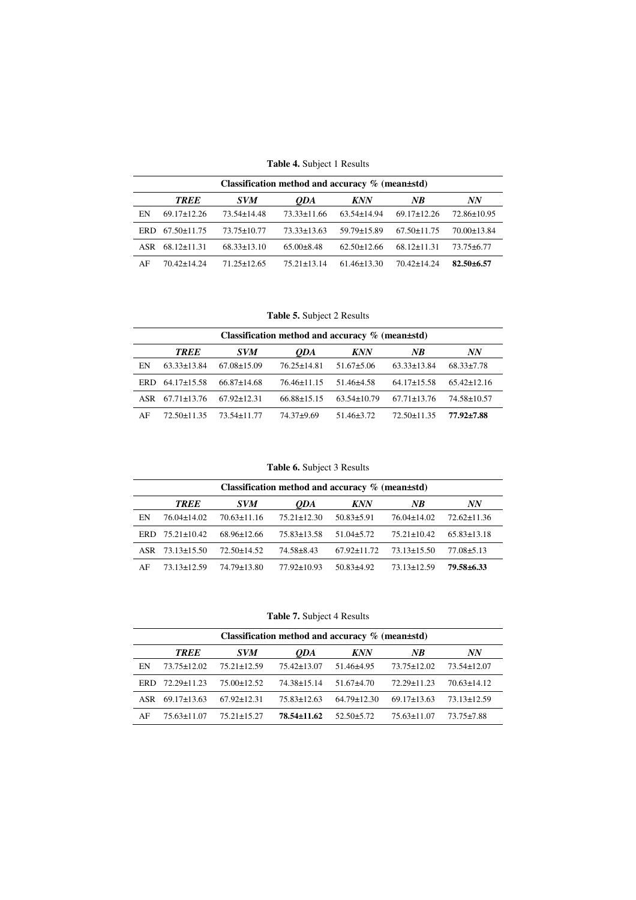**Table 4.** Subject 1 Results

|      | Classification method and accuracy $\%$ (mean $\pm$ std) |                   |                   |                   |                   |                   |  |  |  |
|------|----------------------------------------------------------|-------------------|-------------------|-------------------|-------------------|-------------------|--|--|--|
|      | <b>TREE</b>                                              | <b>SVM</b>        | <i>ODA</i>        | <b>KNN</b>        | NB                | NN                |  |  |  |
| EN   | $69.17 \pm 12.26$                                        | $73.54 \pm 14.48$ | $73.33 \pm 11.66$ | $63.54 \pm 14.94$ | $69.17 \pm 12.26$ | $72.86 \pm 10.95$ |  |  |  |
| ERD. | $67.50 \pm 11.75$                                        | $73.75 \pm 10.77$ | $73.33 \pm 13.63$ | $59.79 \pm 15.89$ | $67.50 \pm 11.75$ | $70.00 \pm 13.84$ |  |  |  |
| ASR  | $68.12 \pm 11.31$                                        | $68.33 \pm 13.10$ | $65.00\pm8.48$    | $62.50 \pm 12.66$ | $68.12 \pm 11.31$ | $73.75 \pm 6.77$  |  |  |  |
| AF   | 70 42 + 14 24                                            | $71.25 \pm 12.65$ | $75.21 \pm 13.14$ | $61.46 \pm 13.30$ | $70.42 \pm 14.24$ | $82.50 \pm 6.57$  |  |  |  |

**Table 5.** Subject 2 Results

|     | Classification method and accuracy $\%$ (mean $\pm$ std) |                   |                   |                   |                   |                   |  |  |  |  |
|-----|----------------------------------------------------------|-------------------|-------------------|-------------------|-------------------|-------------------|--|--|--|--|
|     |                                                          |                   |                   |                   |                   |                   |  |  |  |  |
|     | <b>TREE</b>                                              | <b>SVM</b>        | <i>ODA</i>        | <b>KNN</b>        | NB                | $N\!N$            |  |  |  |  |
| EN  | $63.33 \pm 13.84$                                        | $67.08 \pm 15.09$ | $76.25 \pm 14.81$ | $51.67 \pm 5.06$  | $63.33 \pm 13.84$ | $68.33 \pm 7.78$  |  |  |  |  |
| ERD | $64.17 \pm 15.58$                                        | $66.87 \pm 14.68$ | $76.46 \pm 11.15$ | $51.46\pm4.58$    | $64.17 \pm 15.58$ | $65.42 \pm 12.16$ |  |  |  |  |
| ASR | $67.71 \pm 13.76$                                        | $67.92 \pm 12.31$ | $66.88 \pm 15.15$ | $63.54 \pm 10.79$ | $67.71 \pm 13.76$ | $74.58 \pm 10.57$ |  |  |  |  |
| AF  | $72.50 \pm 11.35$                                        | $73.54 \pm 11.77$ | $74.37+9.69$      | $51.46 \pm 3.72$  | $72.50 \pm 11.35$ | $77.92 \pm 7.88$  |  |  |  |  |

**Table 6.** Subject 3 Results

| Classification method and accuracy $\%$ (mean $\pm$ std) |                   |                   |                   |                   |                   |                   |  |  |
|----------------------------------------------------------|-------------------|-------------------|-------------------|-------------------|-------------------|-------------------|--|--|
|                                                          | <b>TREE</b>       | <b>SVM</b>        | ODA               | <b>KNN</b>        | NB                | NN                |  |  |
| EN                                                       | $76.04 \pm 14.02$ | $70.63 \pm 11.16$ | $75.21 \pm 12.30$ | $50.83 \pm 5.91$  | $76.04 \pm 14.02$ | $72.62 \pm 11.36$ |  |  |
| ERD.                                                     | $75.21 \pm 10.42$ | $68.96 \pm 12.66$ | $75.83 \pm 13.58$ | $51.04 \pm 5.72$  | $75.21 \pm 10.42$ | $65.83 \pm 13.18$ |  |  |
| ASR                                                      | $73.13 \pm 15.50$ | $72.50 \pm 14.52$ | $74.58 \pm 8.43$  | $67.92 \pm 11.72$ | $73.13 \pm 15.50$ | $77.08 \pm 5.13$  |  |  |
| AF                                                       | $73.13 \pm 12.59$ | $74.79 \pm 13.80$ | $77.92 \pm 10.93$ | $50.83\pm4.92$    | $73.13 \pm 12.59$ | 79.58±6.33        |  |  |

**Table 7.** Subject 4 Results

|     | Classification method and accuracy $\%$ (mean $\pm$ std) |                   |                   |                   |                   |                   |  |  |
|-----|----------------------------------------------------------|-------------------|-------------------|-------------------|-------------------|-------------------|--|--|
|     | <b>TREE</b>                                              | <b>SVM</b>        | <i>ODA</i>        | <b>KNN</b>        | NB                | NN                |  |  |
| EN  | $73.75 \pm 12.02$                                        | $75.21 \pm 12.59$ | $75.42 \pm 13.07$ | $51.46\pm4.95$    | $73.75 \pm 12.02$ | $73.54 \pm 12.07$ |  |  |
| ERD | $72.29 \pm 11.23$                                        | $75.00 \pm 12.52$ | $74.38 \pm 15.14$ | $51.67\pm4.70$    | $72.29 \pm 11.23$ | $70.63 \pm 14.12$ |  |  |
| ASR | $69.17 \pm 13.63$                                        | $67.92 \pm 12.31$ | $75.83 \pm 12.63$ | $64.79 \pm 12.30$ | $69.17 \pm 13.63$ | $73.13 \pm 12.59$ |  |  |
| AF  | $75.63 \pm 11.07$                                        | $75.21 \pm 15.27$ | 78.54±11.62       | $52.50 + 5.72$    | $75.63 \pm 11.07$ | $73.75 \pm 7.88$  |  |  |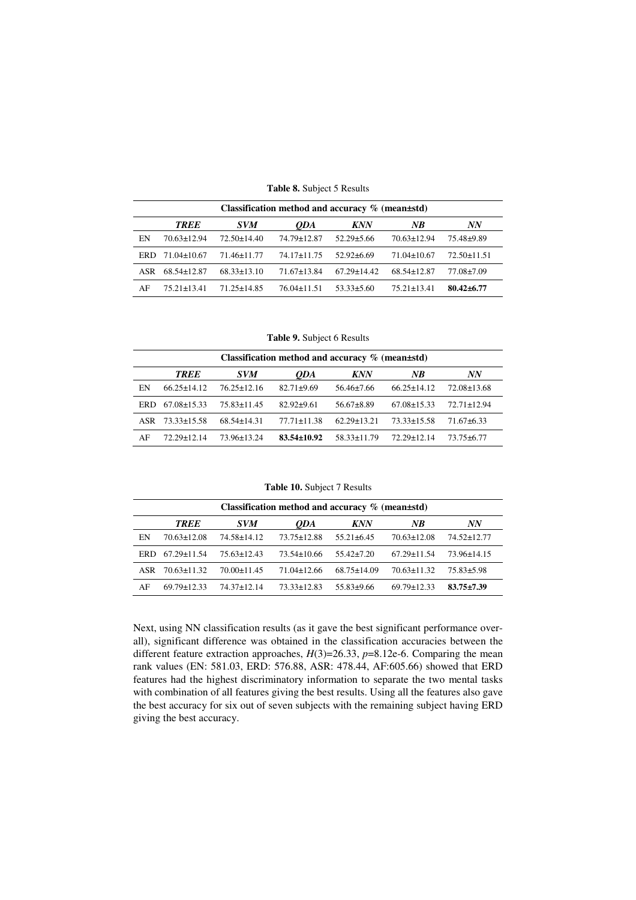|      | Classification method and accuracy $\%$ (mean $\pm$ std) |                   |                   |                   |                   |                   |  |  |  |
|------|----------------------------------------------------------|-------------------|-------------------|-------------------|-------------------|-------------------|--|--|--|
|      | <b>TREE</b>                                              | <b>SVM</b>        | <i>ODA</i>        | <b>KNN</b>        | NB                | NN                |  |  |  |
| EN   | $70.63 \pm 12.94$                                        | $72.50 \pm 14.40$ | 74.79±12.87       | $52.29 \pm 5.66$  | $70.63 \pm 12.94$ | 75.48±9.89        |  |  |  |
| ERD. | $71.04 \pm 10.67$                                        | $71.46 \pm 11.77$ | $74.17 \pm 11.75$ | $52.92\pm 6.69$   | $71.04 \pm 10.67$ | $72.50 \pm 11.51$ |  |  |  |
| ASR  | $68.54 \pm 12.87$                                        | $68.33 \pm 13.10$ | $71.67 \pm 13.84$ | $67.29 \pm 14.42$ | $68.54 \pm 12.87$ | $77.08 \pm 7.09$  |  |  |  |
| AF   | $75.21 \pm 13.41$                                        | $71.25 \pm 14.85$ | $76.04 \pm 11.51$ | $53.33 \pm 5.60$  | $75.21 \pm 13.41$ | $80.42 \pm 6.77$  |  |  |  |

**Table 8.** Subject 5 Results

**Table 9.** Subject 6 Results

|     | Classification method and accuracy $\%$ (mean $\pm$ std) |                   |                   |                   |                   |                   |  |  |
|-----|----------------------------------------------------------|-------------------|-------------------|-------------------|-------------------|-------------------|--|--|
|     | <b>TREE</b>                                              | <b>SVM</b>        | <i>ODA</i>        | <b>KNN</b>        | NB                | $N\!N$            |  |  |
| EN  | $66.25 \pm 14.12$                                        | $76.25 \pm 12.16$ | $82.71 \pm 9.69$  | $56.46\pm7.66$    | $66.25 \pm 14.12$ | $72.08 \pm 13.68$ |  |  |
| ERD | $67.08 \pm 15.33$                                        | $75.83 \pm 11.45$ | $82.92+9.61$      | $56.67\pm8.89$    | $67.08 \pm 15.33$ | $72.71 \pm 12.94$ |  |  |
| ASR | $73.33 \pm 15.58$                                        | $68.54 \pm 14.31$ | $77.71 \pm 11.38$ | $62.29 \pm 13.21$ | $73.33 \pm 15.58$ | $71.67\pm 6.33$   |  |  |
| AF  | 72.29±12.14                                              | $73.96 \pm 13.24$ | $83.54 \pm 10.92$ | $58.33 \pm 11.79$ | $72.29 \pm 12.14$ | $73.75 \pm 6.77$  |  |  |

**Table 10.** Subject 7 Results

|      | Classification method and accuracy $\%$ (mean $\pm$ std) |                   |                   |                   |                   |                  |  |  |  |
|------|----------------------------------------------------------|-------------------|-------------------|-------------------|-------------------|------------------|--|--|--|
|      | <b>TREE</b>                                              | <b>SVM</b>        | <i>ODA</i>        | <b>KNN</b>        | NB                | NN               |  |  |  |
| EN   | $70.63 \pm 12.08$                                        | 74.58±14.12       | $73.75 \pm 12.88$ | $55.21 \pm 6.45$  | $70.63 \pm 12.08$ | 74.52±12.77      |  |  |  |
| ERD. | $67.29 \pm 11.54$                                        | $75.63 \pm 12.43$ | $73.54 \pm 10.66$ | $55.42 \pm 7.20$  | $67.29 \pm 11.54$ | 73.96±14.15      |  |  |  |
| ASR  | $70.63 \pm 11.32$                                        | $70.00 \pm 11.45$ | $71.04 \pm 12.66$ | $68.75 \pm 14.09$ | $70.63 \pm 11.32$ | $75.83 \pm 5.98$ |  |  |  |
| AF   | $69.79 \pm 12.33$                                        | $74.37 \pm 12.14$ | $73.33 \pm 12.83$ | $55.83 \pm 9.66$  | $69.79 \pm 12.33$ | $83.75 \pm 7.39$ |  |  |  |

Next, using NN classification results (as it gave the best significant performance overall), significant difference was obtained in the classification accuracies between the different feature extraction approaches, *H*(3)=26.33, *p*=8.12e-6. Comparing the mean rank values (EN: 581.03, ERD: 576.88, ASR: 478.44, AF:605.66) showed that ERD features had the highest discriminatory information to separate the two mental tasks with combination of all features giving the best results. Using all the features also gave the best accuracy for six out of seven subjects with the remaining subject having ERD giving the best accuracy.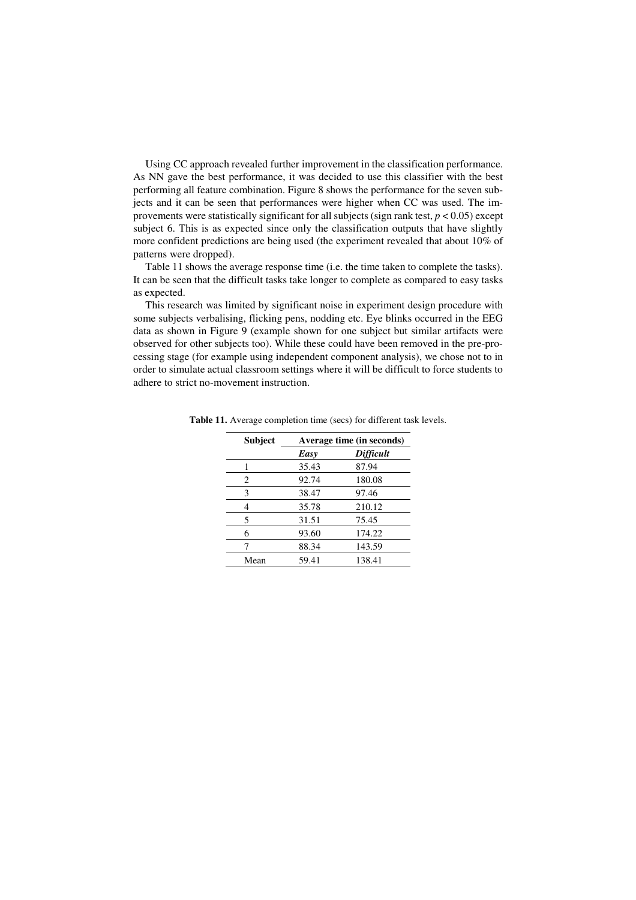Using CC approach revealed further improvement in the classification performance. As NN gave the best performance, it was decided to use this classifier with the best performing all feature combination. Figure 8 shows the performance for the seven subjects and it can be seen that performances were higher when CC was used. The improvements were statistically significant for all subjects (sign rank test,  $p < 0.05$ ) except subject 6. This is as expected since only the classification outputs that have slightly more confident predictions are being used (the experiment revealed that about 10% of patterns were dropped).

Table 11 shows the average response time (i.e. the time taken to complete the tasks). It can be seen that the difficult tasks take longer to complete as compared to easy tasks as expected.

This research was limited by significant noise in experiment design procedure with some subjects verbalising, flicking pens, nodding etc. Eye blinks occurred in the EEG data as shown in Figure 9 (example shown for one subject but similar artifacts were observed for other subjects too). While these could have been removed in the pre-processing stage (for example using independent component analysis), we chose not to in order to simulate actual classroom settings where it will be difficult to force students to adhere to strict no-movement instruction.

| <b>Subject</b> | Average time (in seconds) |                  |  |
|----------------|---------------------------|------------------|--|
|                | Easy                      | <b>Difficult</b> |  |
|                | 35.43                     | 87.94            |  |
| 2              | 92.74                     | 180.08           |  |
| 3              | 38.47                     | 97.46            |  |
| 4              | 35.78                     | 210.12           |  |
| 5              | 31.51                     | 75.45            |  |
| 6              | 93.60                     | 174.22           |  |
| 7              | 88.34                     | 143.59           |  |
| Mean           | 59.41                     | 138.41           |  |
|                |                           |                  |  |

Table 11. Average completion time (secs) for different task levels.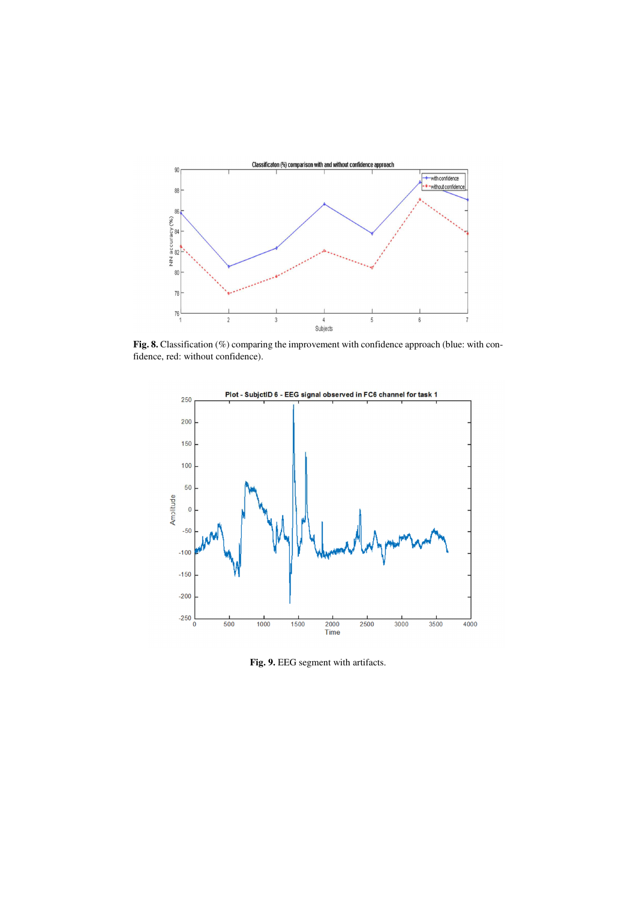

Fig. 8. Classification (%) comparing the improvement with confidence approach (blue: with confidence, red: without confidence).



**Fig. 9.** EEG segment with artifacts.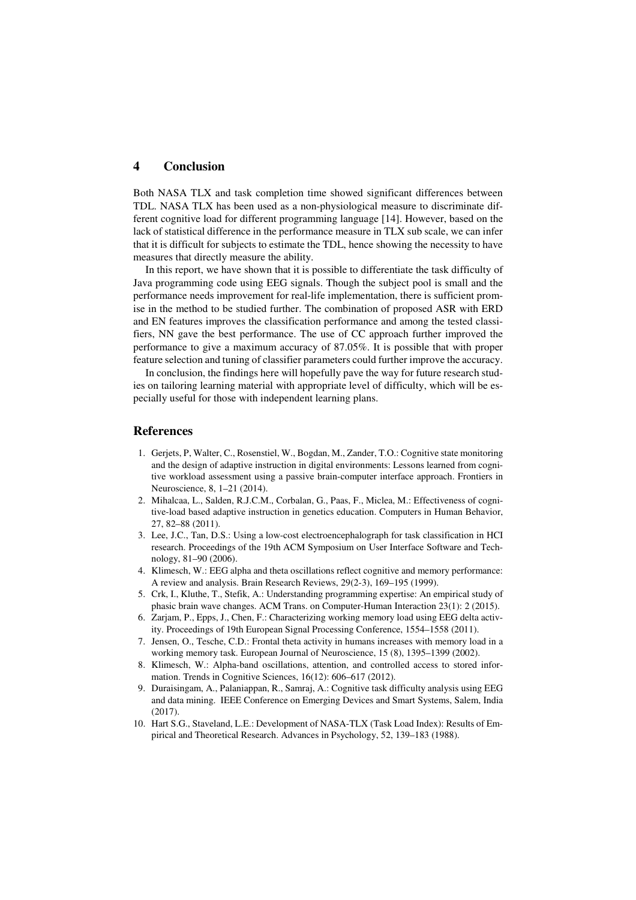#### **4 Conclusion**

Both NASA TLX and task completion time showed significant differences between TDL. NASA TLX has been used as a non-physiological measure to discriminate different cognitive load for different programming language [14]. However, based on the lack of statistical difference in the performance measure in TLX sub scale, we can infer that it is difficult for subjects to estimate the TDL, hence showing the necessity to have measures that directly measure the ability.

In this report, we have shown that it is possible to differentiate the task difficulty of Java programming code using EEG signals. Though the subject pool is small and the performance needs improvement for real-life implementation, there is sufficient promise in the method to be studied further. The combination of proposed ASR with ERD and EN features improves the classification performance and among the tested classifiers, NN gave the best performance. The use of CC approach further improved the performance to give a maximum accuracy of 87.05%. It is possible that with proper feature selection and tuning of classifier parameters could further improve the accuracy.

In conclusion, the findings here will hopefully pave the way for future research studies on tailoring learning material with appropriate level of difficulty, which will be especially useful for those with independent learning plans.

#### **References**

- 1. Gerjets, P, Walter, C., Rosenstiel, W., Bogdan, M., Zander, T.O.: Cognitive state monitoring and the design of adaptive instruction in digital environments: Lessons learned from cognitive workload assessment using a passive brain-computer interface approach. Frontiers in Neuroscience, 8, 1–21 (2014).
- 2. Mihalcaa, L., Salden, R.J.C.M., Corbalan, G., Paas, F., Miclea, M.: Effectiveness of cognitive-load based adaptive instruction in genetics education. Computers in Human Behavior, 27, 82–88 (2011).
- 3. Lee, J.C., Tan, D.S.: Using a low-cost electroencephalograph for task classification in HCI research. Proceedings of the 19th ACM Symposium on User Interface Software and Technology, 81–90 (2006).
- 4. Klimesch, W.: EEG alpha and theta oscillations reflect cognitive and memory performance: A review and analysis. Brain Research Reviews, 29(2-3), 169–195 (1999).
- 5. Crk, I., Kluthe, T., Stefik, A.: Understanding programming expertise: An empirical study of phasic brain wave changes. ACM Trans. on Computer-Human Interaction 23(1): 2 (2015).
- 6. Zarjam, P., Epps, J., Chen, F.: Characterizing working memory load using EEG delta activity. Proceedings of 19th European Signal Processing Conference, 1554–1558 (2011).
- 7. Jensen, O., Tesche, C.D.: Frontal theta activity in humans increases with memory load in a working memory task. European Journal of Neuroscience, 15 (8), 1395–1399 (2002).
- 8. Klimesch, W.: Alpha-band oscillations, attention, and controlled access to stored information. Trends in Cognitive Sciences, 16(12): 606–617 (2012).
- 9. Duraisingam, A., Palaniappan, R., Samraj, A.: Cognitive task difficulty analysis using EEG and data mining. IEEE Conference on Emerging Devices and Smart Systems, Salem, India (2017).
- 10. Hart S.G., Staveland, L.E.: Development of NASA-TLX (Task Load Index): Results of Empirical and Theoretical Research. Advances in Psychology, 52, 139–183 (1988).